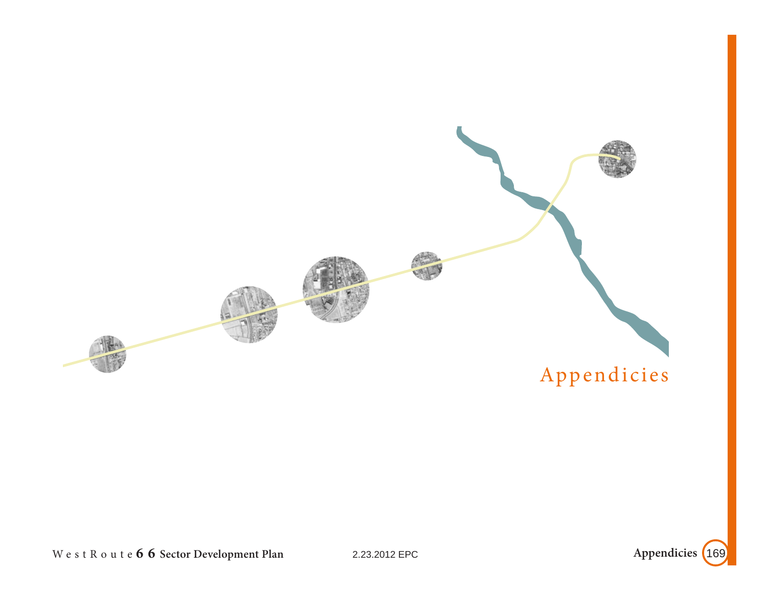

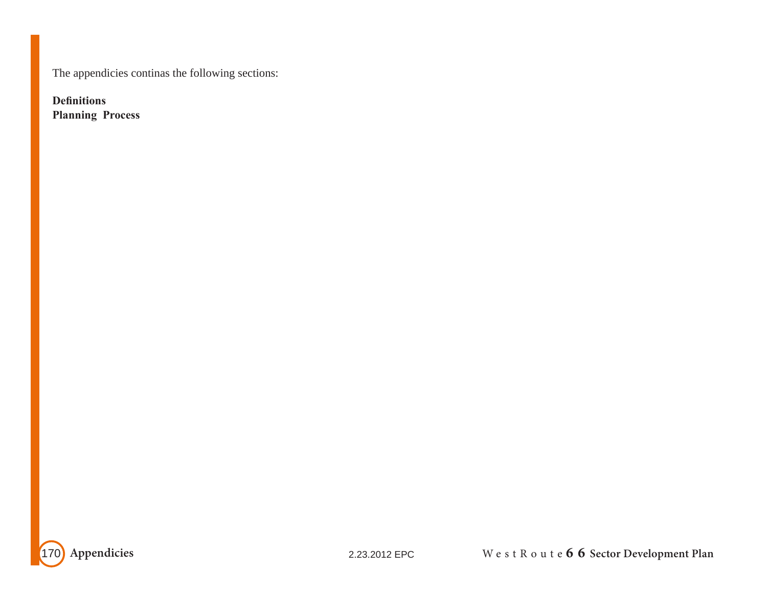The appendicies continas the following sections:

**Definitions Planning Process**

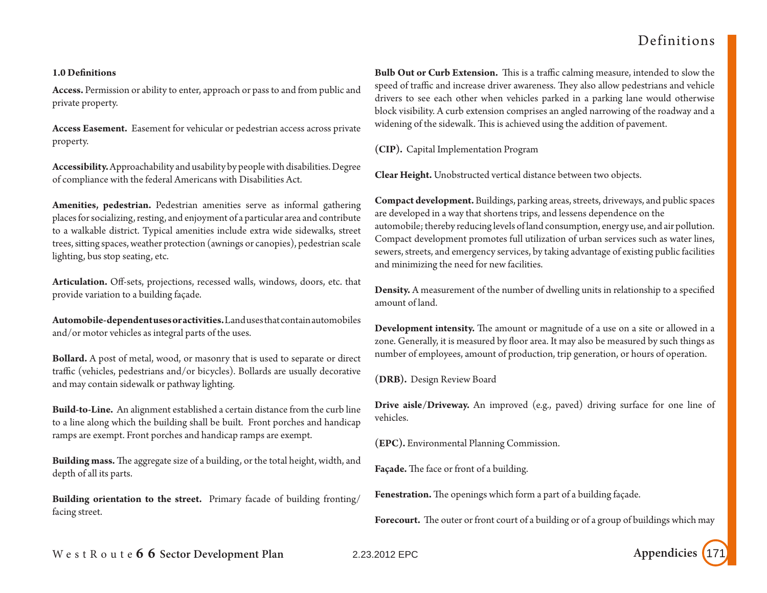## Definitions

### **1.0 Definitions**

**Access.** Permission or ability to enter, approach or pass to and from public and private property.

**Access Easement.** Easement for vehicular or pedestrian access across private property.

**Accessibility.** Approachability and usability by people with disabilities. Degree of compliance with the federal Americans with Disabilities Act.

**Amenities, pedestrian.** Pedestrian amenities serve as informal gathering places for socializing, resting, and enjoyment of a particular area and contribute to a walkable district. Typical amenities include extra wide sidewalks, street trees, sitting spaces, weather protection (awnings or canopies), pedestrian scale lighting, bus stop seating, etc.

**Articulation.** Off-sets, projections, recessed walls, windows, doors, etc. that provide variation to a building façade.

**Automobile-dependent uses or activities.** Land uses that contain automobiles and/or motor vehicles as integral parts of the uses.

**Bollard.** A post of metal, wood, or masonry that is used to separate or direct traffic (vehicles, pedestrians and/or bicycles). Bollards are usually decorative and may contain sidewalk or pathway lighting.

**Build-to-Line.** An alignment established a certain distance from the curb line to a line along which the building shall be built. Front porches and handicap ramps are exempt. Front porches and handicap ramps are exempt.

**Building mass.** The aggregate size of a building, or the total height, width, and depth of all its parts.

**Building orientation to the street.** Primary facade of building fronting/ facing street.

**Bulb Out or Curb Extension.** This is a traffic calming measure, intended to slow the speed of traffic and increase driver awareness. They also allow pedestrians and vehicle drivers to see each other when vehicles parked in a parking lane would otherwise block visibility. A curb extension comprises an angled narrowing of the roadway and a widening of the sidewalk. This is achieved using the addition of pavement.

**(CIP).** Capital Implementation Program

**Clear Height.** Unobstructed vertical distance between two objects.

**Compact development.** Buildings, parking areas, streets, driveways, and public spaces are developed in a way that shortens trips, and lessens dependence on the automobile; thereby reducing levels of land consumption, energy use, and air pollution. Compact development promotes full utilization of urban services such as water lines, sewers, streets, and emergency services, by taking advantage of existing public facilities and minimizing the need for new facilities.

**Density.** A measurement of the number of dwelling units in relationship to a specified amount of land.

**Development intensity.** The amount or magnitude of a use on a site or allowed in a zone. Generally, it is measured by floor area. It may also be measured by such things as number of employees, amount of production, trip generation, or hours of operation.

**(DRB).** Design Review Board

**Drive aisle/Driveway.** An improved (e.g., paved) driving surface for one line of vehicles.

**(EPC).** Environmental Planning Commission.

**Façade.** The face or front of a building.

**Fenestration.** The openings which form a part of a building façade.

**Forecourt.** The outer or front court of a building or of a group of buildings which may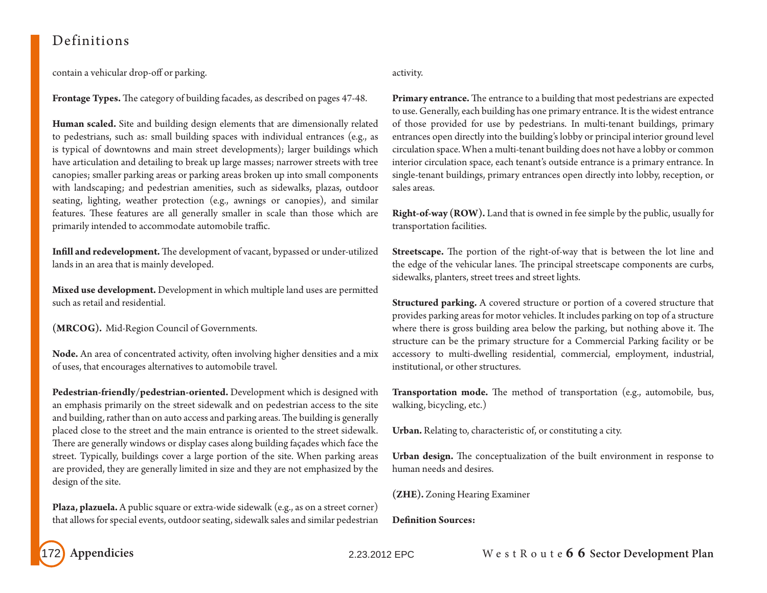## Definitions

contain a vehicular drop-off or parking.

**Frontage Types.** The category of building facades, as described on pages 47-48.

**Human scaled.** Site and building design elements that are dimensionally related to pedestrians, such as: small building spaces with individual entrances (e.g., as is typical of downtowns and main street developments); larger buildings which have articulation and detailing to break up large masses; narrower streets with tree canopies; smaller parking areas or parking areas broken up into small components with landscaping; and pedestrian amenities, such as sidewalks, plazas, outdoor seating, lighting, weather protection (e.g., awnings or canopies), and similar features. These features are all generally smaller in scale than those which are primarily intended to accommodate automobile traffic.

**Infill and redevelopment.** The development of vacant, bypassed or under-utilized lands in an area that is mainly developed.

**Mixed use development.** Development in which multiple land uses are permitted such as retail and residential.

**(MRCOG).** Mid-Region Council of Governments.

**Node.** An area of concentrated activity, often involving higher densities and a mix of uses, that encourages alternatives to automobile travel.

**Pedestrian-friendly/pedestrian-oriented.** Development which is designed with an emphasis primarily on the street sidewalk and on pedestrian access to the site and building, rather than on auto access and parking areas. The building is generally placed close to the street and the main entrance is oriented to the street sidewalk. There are generally windows or display cases along building façades which face the street. Typically, buildings cover a large portion of the site. When parking areas are provided, they are generally limited in size and they are not emphasized by the design of the site.

**Plaza, plazuela.** A public square or extra-wide sidewalk (e.g., as on a street corner) that allows for special events, outdoor seating, sidewalk sales and similar pedestrian

### activity.

**Primary entrance.** The entrance to a building that most pedestrians are expected to use. Generally, each building has one primary entrance. It is the widest entrance of those provided for use by pedestrians. In multi-tenant buildings, primary entrances open directly into the building's lobby or principal interior ground level circulation space. When a multi-tenant building does not have a lobby or common interior circulation space, each tenant's outside entrance is a primary entrance. In single-tenant buildings, primary entrances open directly into lobby, reception, or sales areas.

**Right-of-way (ROW).** Land that is owned in fee simple by the public, usually for transportation facilities.

**Streetscape.** The portion of the right-of-way that is between the lot line and the edge of the vehicular lanes. The principal streetscape components are curbs, sidewalks, planters, street trees and street lights.

**Structured parking.** A covered structure or portion of a covered structure that provides parking areas for motor vehicles. It includes parking on top of a structure where there is gross building area below the parking, but nothing above it. The structure can be the primary structure for a Commercial Parking facility or be accessory to multi-dwelling residential, commercial, employment, industrial, institutional, or other structures.

**Transportation mode.** The method of transportation (e.g., automobile, bus, walking, bicycling, etc.)

**Urban.** Relating to, characteristic of, or constituting a city.

**Urban design.** The conceptualization of the built environment in response to human needs and desires.

**(ZHE).** Zoning Hearing Examiner

**Definition Sources:**

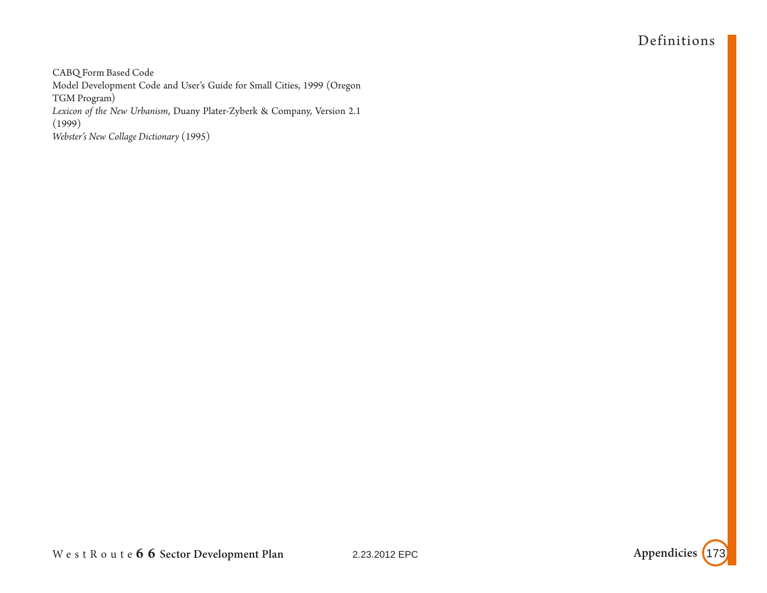# Definitions

CABQ Form Based Code Model Development Code and User's Guide for Small Cities, 1999 (Oregon TGM Program) *Lexicon of the New Urbanism*, Duany Plater-Zyberk & Company, Version 2.1 (1999) *Webster's New Collage Dictionary* (1995)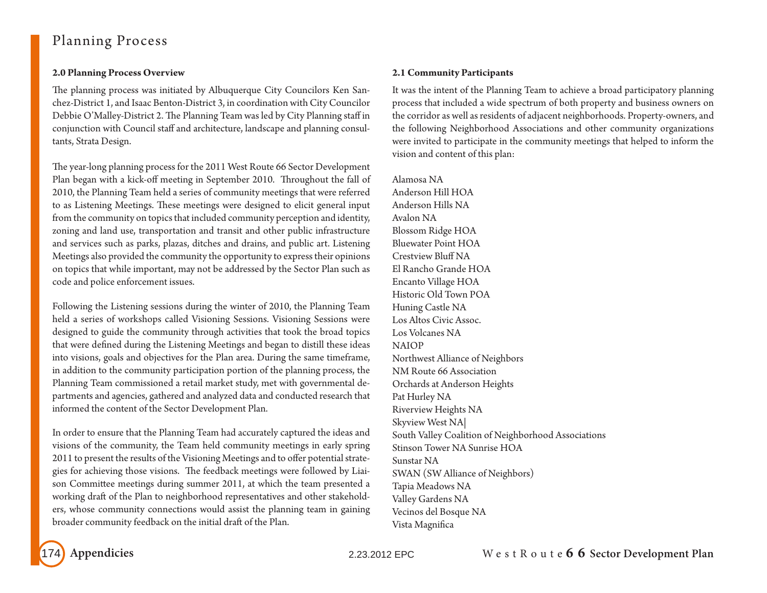# Planning Process

## **2.0 Planning Process Overview**

The planning process was initiated by Albuquerque City Councilors Ken Sanchez-District 1, and Isaac Benton-District 3, in coordination with City Councilor Debbie O'Malley-District 2. The Planning Team was led by City Planning staff in conjunction with Council staff and architecture, landscape and planning consultants, Strata Design.

The year-long planning process for the 2011 West Route 66 Sector Development Plan began with a kick-off meeting in September 2010. Throughout the fall of 2010, the Planning Team held a series of community meetings that were referred to as Listening Meetings. These meetings were designed to elicit general input from the community on topics that included community perception and identity, zoning and land use, transportation and transit and other public infrastructure and services such as parks, plazas, ditches and drains, and public art. Listening Meetings also provided the community the opportunity to express their opinions on topics that while important, may not be addressed by the Sector Plan such as code and police enforcement issues.

Following the Listening sessions during the winter of 2010, the Planning Team held a series of workshops called Visioning Sessions. Visioning Sessions were designed to guide the community through activities that took the broad topics that were defined during the Listening Meetings and began to distill these ideas into visions, goals and objectives for the Plan area. During the same timeframe, in addition to the community participation portion of the planning process, the Planning Team commissioned a retail market study, met with governmental departments and agencies, gathered and analyzed data and conducted research that informed the content of the Sector Development Plan.

In order to ensure that the Planning Team had accurately captured the ideas and visions of the community, the Team held community meetings in early spring 2011 to present the results of the Visioning Meetings and to offer potential strategies for achieving those visions. The feedback meetings were followed by Liaison Committee meetings during summer 2011, at which the team presented a working draft of the Plan to neighborhood representatives and other stakeholders, whose community connections would assist the planning team in gaining broader community feedback on the initial draft of the Plan.

## **2.1 Community Participants**

It was the intent of the Planning Team to achieve a broad participatory planning process that included a wide spectrum of both property and business owners on the corridor as well as residents of adjacent neighborhoods. Property-owners, and the following Neighborhood Associations and other community organizations were invited to participate in the community meetings that helped to inform the vision and content of this plan:

Alamosa NA Anderson Hill HOA Anderson Hills NA Avalon NA Blossom Ridge HOA Bluewater Point HOA Crestview Bluff NA El Rancho Grande HOA Encanto Village HOA Historic Old Town POA Huning Castle NA Los Altos Civic Assoc. Los Volcanes NA NAIOP Northwest Alliance of Neighbors NM Route 66 Association Orchards at Anderson Heights Pat Hurley NA Riverview Heights NA Skyview West NA| South Valley Coalition of Neighborhood Associations Stinson Tower NA Sunrise HOA Sunstar NA SWAN (SW Alliance of Neighbors) Tapia Meadows NA Valley Gardens NA Vecinos del Bosque NA Vista Magnifica